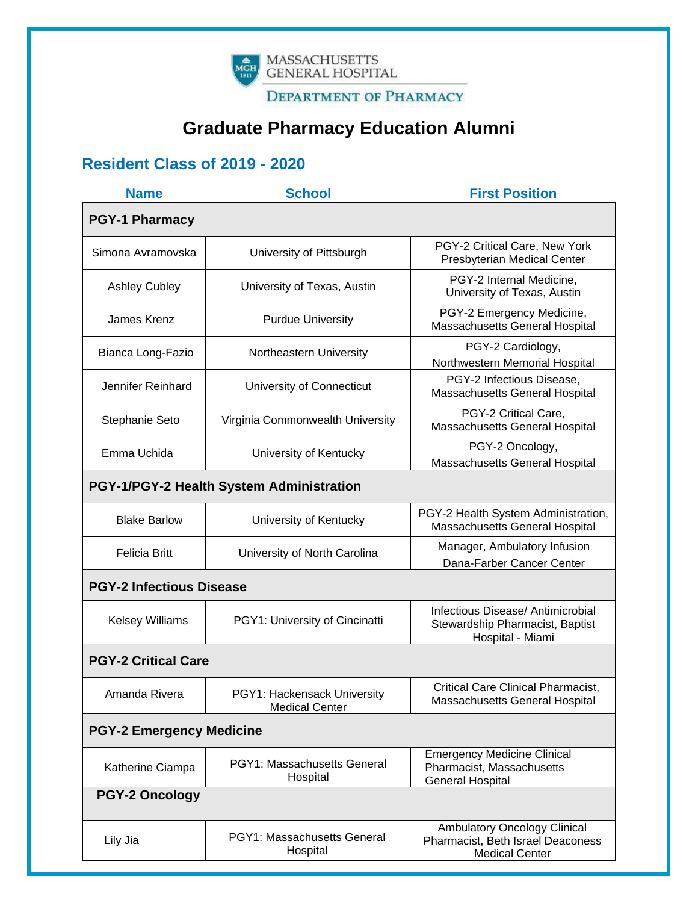

**DEPARTMENT OF PHARMACY** 

# **Graduate Pharmacy Education Alumni**

## **Resident Class of 2019 - 2020**

| <b>Name</b>                              | <b>School</b>                                        | <b>First Position</b>                                                                      |
|------------------------------------------|------------------------------------------------------|--------------------------------------------------------------------------------------------|
| <b>PGY-1 Pharmacy</b>                    |                                                      |                                                                                            |
| Simona Avramovska                        | University of Pittsburgh                             | PGY-2 Critical Care, New York<br>Presbyterian Medical Center                               |
| <b>Ashley Cubley</b>                     | University of Texas, Austin                          | PGY-2 Internal Medicine,<br>University of Texas, Austin                                    |
| James Krenz                              | <b>Purdue University</b>                             | PGY-2 Emergency Medicine,<br>Massachusetts General Hospital                                |
| Bianca Long-Fazio                        | Northeastern University                              | PGY-2 Cardiology,<br>Northwestern Memorial Hospital                                        |
| Jennifer Reinhard                        | University of Connecticut                            | PGY-2 Infectious Disease,<br>Massachusetts General Hospital                                |
| Stephanie Seto                           | Virginia Commonwealth University                     | PGY-2 Critical Care,<br>Massachusetts General Hospital                                     |
| Emma Uchida                              | University of Kentucky                               | PGY-2 Oncology,<br>Massachusetts General Hospital                                          |
| PGY-1/PGY-2 Health System Administration |                                                      |                                                                                            |
| <b>Blake Barlow</b>                      | University of Kentucky                               | PGY-2 Health System Administration,<br>Massachusetts General Hospital                      |
| <b>Felicia Britt</b>                     | University of North Carolina                         | Manager, Ambulatory Infusion<br>Dana-Farber Cancer Center                                  |
| <b>PGY-2 Infectious Disease</b>          |                                                      |                                                                                            |
| <b>Kelsey Williams</b>                   | PGY1: University of Cincinatti                       | Infectious Disease/ Antimicrobial<br>Stewardship Pharmacist, Baptist<br>Hospital - Miami   |
| <b>PGY-2 Critical Care</b>               |                                                      |                                                                                            |
| Amanda Rivera                            | PGY1: Hackensack University<br><b>Medical Center</b> | <b>Critical Care Clinical Pharmacist,</b><br>Massachusetts General Hospital                |
| <b>PGY-2 Emergency Medicine</b>          |                                                      |                                                                                            |
| Katherine Ciampa                         | PGY1: Massachusetts General<br>Hospital              | <b>Emergency Medicine Clinical</b><br>Pharmacist, Massachusetts<br><b>General Hospital</b> |
| <b>PGY-2 Oncology</b>                    |                                                      |                                                                                            |
| Lily Jia                                 | <b>PGY1: Massachusetts General</b><br>Hospital       | Ambulatory Oncology Clinical<br>Pharmacist, Beth Israel Deaconess<br><b>Medical Center</b> |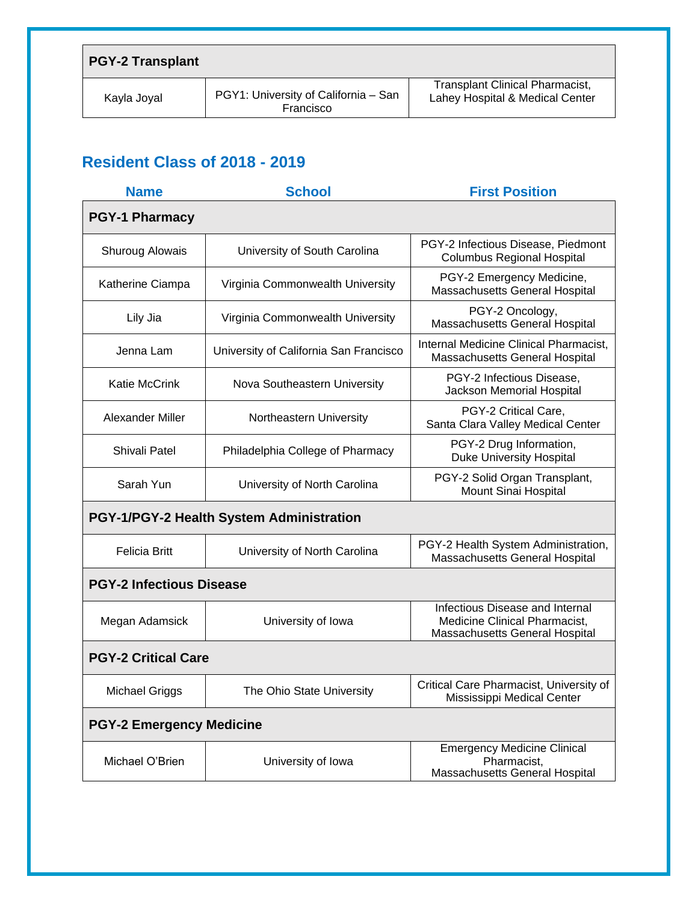| <b>PGY-2 Transplant</b> |                                                   |                                                                           |
|-------------------------|---------------------------------------------------|---------------------------------------------------------------------------|
| Kayla Joyal             | PGY1: University of California - San<br>Francisco | <b>Transplant Clinical Pharmacist,</b><br>Lahey Hospital & Medical Center |

# **Resident Class of 2018 - 2019**

| <b>Name</b>                              | <b>School</b>                          | <b>First Position</b>                                                                              |
|------------------------------------------|----------------------------------------|----------------------------------------------------------------------------------------------------|
| <b>PGY-1 Pharmacy</b>                    |                                        |                                                                                                    |
| Shuroug Alowais                          | University of South Carolina           | PGY-2 Infectious Disease, Piedmont<br><b>Columbus Regional Hospital</b>                            |
| Katherine Ciampa                         | Virginia Commonwealth University       | PGY-2 Emergency Medicine,<br>Massachusetts General Hospital                                        |
| Lily Jia                                 | Virginia Commonwealth University       | PGY-2 Oncology,<br>Massachusetts General Hospital                                                  |
| Jenna Lam                                | University of California San Francisco | Internal Medicine Clinical Pharmacist,<br>Massachusetts General Hospital                           |
| <b>Katie McCrink</b>                     | Nova Southeastern University           | PGY-2 Infectious Disease,<br>Jackson Memorial Hospital                                             |
| Alexander Miller                         | Northeastern University                | PGY-2 Critical Care,<br>Santa Clara Valley Medical Center                                          |
| <b>Shivali Patel</b>                     | Philadelphia College of Pharmacy       | PGY-2 Drug Information,<br><b>Duke University Hospital</b>                                         |
| Sarah Yun                                | University of North Carolina           | PGY-2 Solid Organ Transplant,<br>Mount Sinai Hospital                                              |
| PGY-1/PGY-2 Health System Administration |                                        |                                                                                                    |
| <b>Felicia Britt</b>                     | University of North Carolina           | PGY-2 Health System Administration,<br>Massachusetts General Hospital                              |
| <b>PGY-2 Infectious Disease</b>          |                                        |                                                                                                    |
| Megan Adamsick                           | University of Iowa                     | Infectious Disease and Internal<br>Medicine Clinical Pharmacist,<br>Massachusetts General Hospital |
| <b>PGY-2 Critical Care</b>               |                                        |                                                                                                    |
| <b>Michael Griggs</b>                    | The Ohio State University              | Critical Care Pharmacist, University of<br>Mississippi Medical Center                              |
| <b>PGY-2 Emergency Medicine</b>          |                                        |                                                                                                    |
| Michael O'Brien                          | University of Iowa                     | <b>Emergency Medicine Clinical</b><br>Pharmacist,<br>Massachusetts General Hospital                |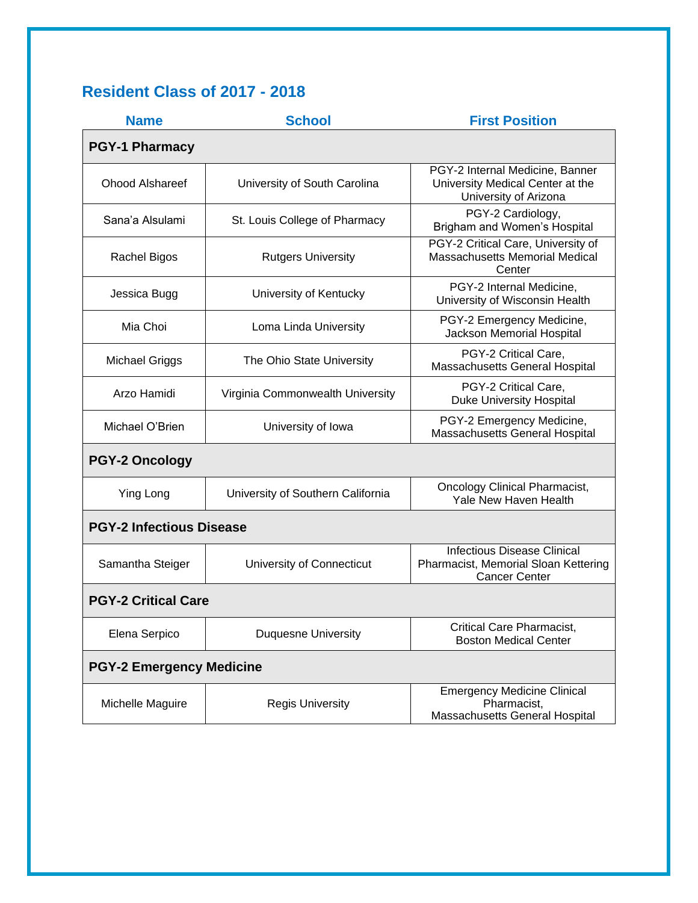# **Resident Class of 2017 - 2018**

| <b>Name</b>                     | <b>School</b>                     | <b>First Position</b>                                                                              |
|---------------------------------|-----------------------------------|----------------------------------------------------------------------------------------------------|
| <b>PGY-1 Pharmacy</b>           |                                   |                                                                                                    |
| <b>Ohood Alshareef</b>          | University of South Carolina      | PGY-2 Internal Medicine, Banner<br>University Medical Center at the<br>University of Arizona       |
| Sana'a Alsulami                 | St. Louis College of Pharmacy     | PGY-2 Cardiology,<br>Brigham and Women's Hospital                                                  |
| Rachel Bigos                    | <b>Rutgers University</b>         | PGY-2 Critical Care, University of<br>Massachusetts Memorial Medical<br>Center                     |
| Jessica Bugg                    | University of Kentucky            | PGY-2 Internal Medicine,<br>University of Wisconsin Health                                         |
| Mia Choi                        | Loma Linda University             | PGY-2 Emergency Medicine,<br>Jackson Memorial Hospital                                             |
| Michael Griggs                  | The Ohio State University         | PGY-2 Critical Care,<br>Massachusetts General Hospital                                             |
| Arzo Hamidi                     | Virginia Commonwealth University  | PGY-2 Critical Care,<br><b>Duke University Hospital</b>                                            |
| Michael O'Brien                 | University of Iowa                | PGY-2 Emergency Medicine,<br>Massachusetts General Hospital                                        |
| <b>PGY-2 Oncology</b>           |                                   |                                                                                                    |
| <b>Ying Long</b>                | University of Southern California | <b>Oncology Clinical Pharmacist,</b><br>Yale New Haven Health                                      |
| <b>PGY-2 Infectious Disease</b> |                                   |                                                                                                    |
| Samantha Steiger                | University of Connecticut         | <b>Infectious Disease Clinical</b><br>Pharmacist, Memorial Sloan Kettering<br><b>Cancer Center</b> |
| <b>PGY-2 Critical Care</b>      |                                   |                                                                                                    |
| Elena Serpico                   | <b>Duquesne University</b>        | <b>Critical Care Pharmacist,</b><br><b>Boston Medical Center</b>                                   |
| <b>PGY-2 Emergency Medicine</b> |                                   |                                                                                                    |
| Michelle Maguire                | <b>Regis University</b>           | <b>Emergency Medicine Clinical</b><br>Pharmacist,<br>Massachusetts General Hospital                |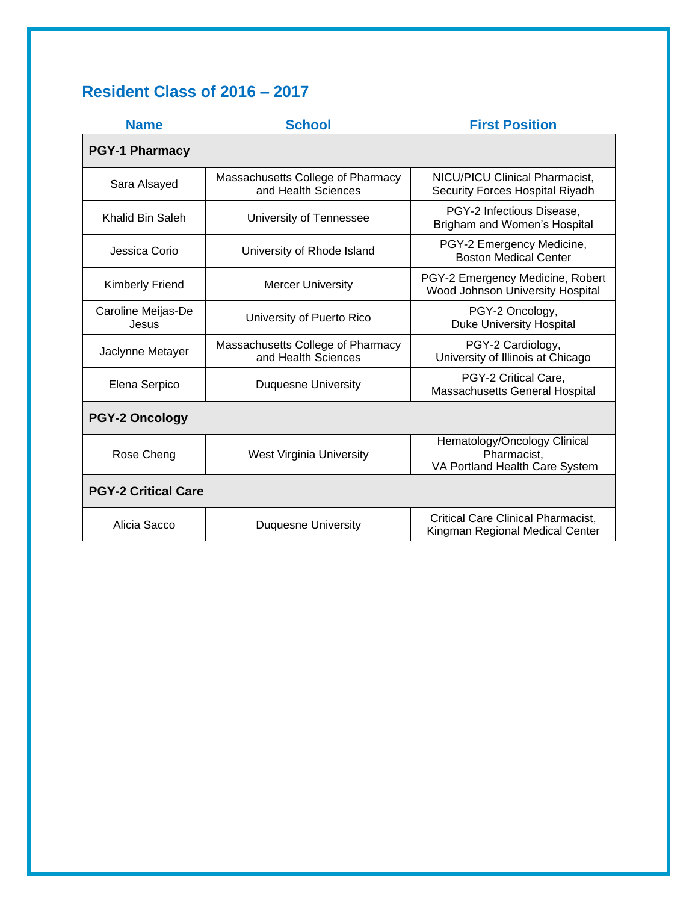# **Resident Class of 2016 – 2017**

| <b>Name</b>                 | <b>School</b>                                            | <b>First Position</b>                                                         |
|-----------------------------|----------------------------------------------------------|-------------------------------------------------------------------------------|
| <b>PGY-1 Pharmacy</b>       |                                                          |                                                                               |
| Sara Alsayed                | Massachusetts College of Pharmacy<br>and Health Sciences | <b>NICU/PICU Clinical Pharmacist,</b><br>Security Forces Hospital Riyadh      |
| Khalid Bin Saleh            | University of Tennessee                                  | PGY-2 Infectious Disease,<br>Brigham and Women's Hospital                     |
| Jessica Corio               | University of Rhode Island                               | PGY-2 Emergency Medicine,<br><b>Boston Medical Center</b>                     |
| <b>Kimberly Friend</b>      | <b>Mercer University</b>                                 | PGY-2 Emergency Medicine, Robert<br>Wood Johnson University Hospital          |
| Caroline Meijas-De<br>Jesus | University of Puerto Rico                                | PGY-2 Oncology,<br><b>Duke University Hospital</b>                            |
| Jaclynne Metayer            | Massachusetts College of Pharmacy<br>and Health Sciences | PGY-2 Cardiology,<br>University of Illinois at Chicago                        |
| Elena Serpico               | <b>Duquesne University</b>                               | PGY-2 Critical Care,<br>Massachusetts General Hospital                        |
| <b>PGY-2 Oncology</b>       |                                                          |                                                                               |
| Rose Cheng                  | <b>West Virginia University</b>                          | Hematology/Oncology Clinical<br>Pharmacist,<br>VA Portland Health Care System |
| <b>PGY-2 Critical Care</b>  |                                                          |                                                                               |
| Alicia Sacco                | <b>Duquesne University</b>                               | <b>Critical Care Clinical Pharmacist,</b><br>Kingman Regional Medical Center  |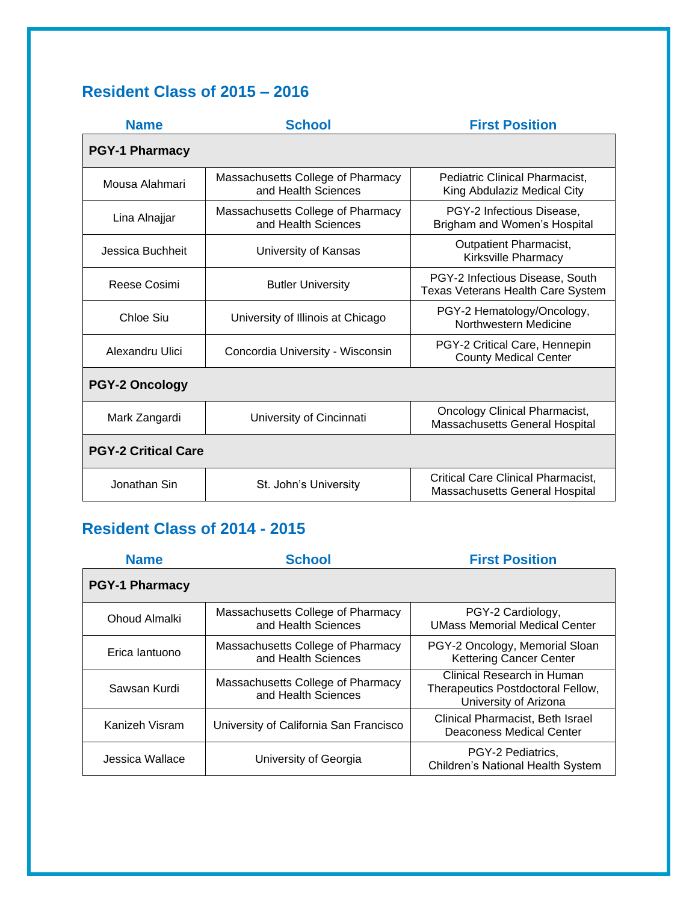# **Resident Class of 2015 – 2016**

| <b>Name</b>                | <b>School</b>                                            | <b>First Position</b>                                                       |
|----------------------------|----------------------------------------------------------|-----------------------------------------------------------------------------|
| <b>PGY-1 Pharmacy</b>      |                                                          |                                                                             |
| Mousa Alahmari             | Massachusetts College of Pharmacy<br>and Health Sciences | Pediatric Clinical Pharmacist.<br>King Abdulaziz Medical City               |
| Lina Alnajjar              | Massachusetts College of Pharmacy<br>and Health Sciences | PGY-2 Infectious Disease,<br>Brigham and Women's Hospital                   |
| Jessica Buchheit           | University of Kansas                                     | <b>Outpatient Pharmacist,</b><br>Kirksville Pharmacy                        |
| Reese Cosimi               | <b>Butler University</b>                                 | PGY-2 Infectious Disease, South<br><b>Texas Veterans Health Care System</b> |
| Chloe Siu                  | University of Illinois at Chicago                        | PGY-2 Hematology/Oncology,<br>Northwestern Medicine                         |
| Alexandru Ulici            | Concordia University - Wisconsin                         | PGY-2 Critical Care, Hennepin<br><b>County Medical Center</b>               |
| <b>PGY-2 Oncology</b>      |                                                          |                                                                             |
| Mark Zangardi              | University of Cincinnati                                 | <b>Oncology Clinical Pharmacist,</b><br>Massachusetts General Hospital      |
| <b>PGY-2 Critical Care</b> |                                                          |                                                                             |
| Jonathan Sin               | St. John's University                                    | <b>Critical Care Clinical Pharmacist,</b><br>Massachusetts General Hospital |

## **Resident Class of 2014 - 2015**

| <b>Name</b>           | <b>School</b>                                            | <b>First Position</b>                                                                    |
|-----------------------|----------------------------------------------------------|------------------------------------------------------------------------------------------|
| <b>PGY-1 Pharmacy</b> |                                                          |                                                                                          |
| Ohoud Almalki         | Massachusetts College of Pharmacy<br>and Health Sciences | PGY-2 Cardiology,<br><b>UMass Memorial Medical Center</b>                                |
| Erica lantuono        | Massachusetts College of Pharmacy<br>and Health Sciences | PGY-2 Oncology, Memorial Sloan<br><b>Kettering Cancer Center</b>                         |
| Sawsan Kurdi          | Massachusetts College of Pharmacy<br>and Health Sciences | Clinical Research in Human<br>Therapeutics Postdoctoral Fellow,<br>University of Arizona |
| Kanizeh Visram        | University of California San Francisco                   | Clinical Pharmacist, Beth Israel<br>Deaconess Medical Center                             |
| Jessica Wallace       | University of Georgia                                    | PGY-2 Pediatrics.<br><b>Children's National Health System</b>                            |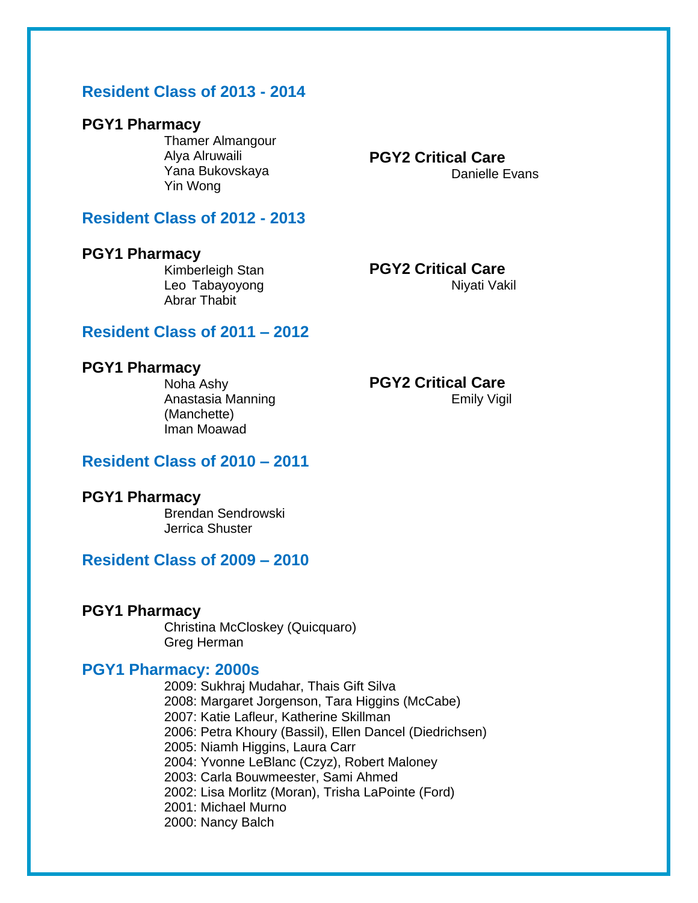## **Resident Class of 2013 - 2014**

### **PGY1 Pharmacy**

Thamer Almangour Alya Alruwaili Yana Bukovskaya Yin Wong

### **Resident Class of 2012 - 2013**

#### **PGY1 Pharmacy**

Kimberleigh Stan Leo Tabayoyong Abrar Thabit

**PGY2 Critical Care** Danielle Evans

**PGY2 Critical Care** Niyati Vakil

### **Resident Class of 2011 – 2012**

#### **PGY1 Pharmacy**

Noha Ashy Anastasia Manning (Manchette) Iman Moawad

**PGY2 Critical Care** Emily Vigil

### **Resident Class of 2010 – 2011**

### **PGY1 Pharmacy**

Brendan Sendrowski Jerrica Shuster

## **Resident Class of 2009 – 2010**

### **PGY1 Pharmacy**

Christina McCloskey (Quicquaro) Greg Herman

### **PGY1 Pharmacy: 2000s**

2009: Sukhraj Mudahar, Thais Gift Silva 2008: Margaret Jorgenson, Tara Higgins (McCabe) 2007: Katie Lafleur, Katherine Skillman 2006: Petra Khoury (Bassil), Ellen Dancel (Diedrichsen) 2005: Niamh Higgins, Laura Carr 2004: Yvonne LeBlanc (Czyz), Robert Maloney 2003: Carla Bouwmeester, Sami Ahmed 2002: Lisa Morlitz (Moran), Trisha LaPointe (Ford) 2001: Michael Murno 2000: Nancy Balch